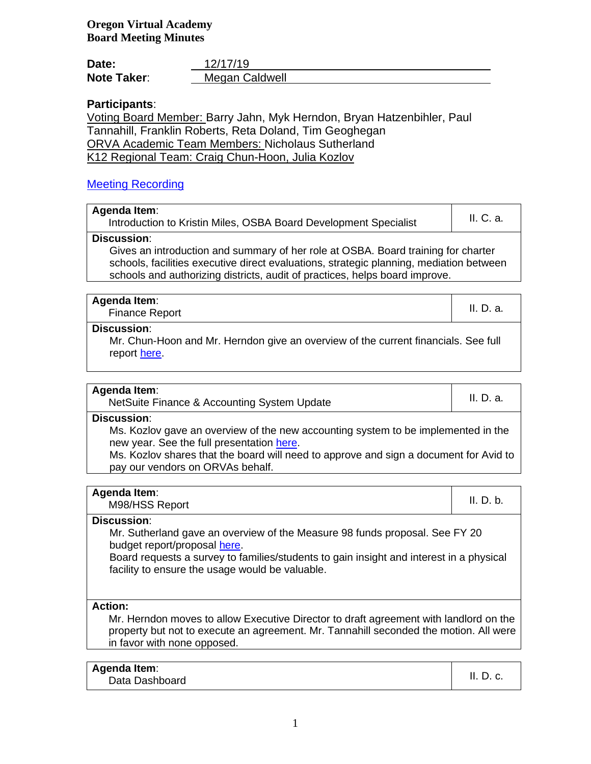# **Oregon Virtual Academy Board Meeting Minutes**

| Date:              | 12/17/19       |
|--------------------|----------------|
| <b>Note Taker:</b> | Megan Caldwell |

# **Participants**:

Voting Board Member: Barry Jahn, Myk Herndon, Bryan Hatzenbihler, Paul Tannahill, Franklin Roberts, Reta Doland, Tim Geoghegan ORVA Academic Team Members: Nicholaus Sutherland K12 Regional Team: Craig Chun-Hoon, Julia Kozlov

# [Meeting Recording](../../../../../../../../../:v:/g/personal/mecaldwell_oregonva_org/Ec5jK44wxhVHsi5RmtMVyswBcHEhmElEOkoJVuz7uAnflQ?e=T1X67c)

| Agenda Item:<br>Introduction to Kristin Miles, OSBA Board Development Specialist  | II. C. a. |
|-----------------------------------------------------------------------------------|-----------|
| <b>Discussion:</b>                                                                |           |
| Gives an introduction and summary of her role at OSBA. Board training for charter |           |

schools, facilities executive direct evaluations, strategic planning, mediation between schools and authorizing districts, audit of practices, helps board improve.

| Agenda Item:<br><b>Finance Report</b> | II. D. a. |
|---------------------------------------|-----------|
| <b>Discussion:</b>                    |           |

Mr. Chun-Hoon and Mr. Herndon give an overview of the current financials. See full report [here.](../../../../../../../../../:p:/g/personal/mecaldwell_oregonva_org/EaOvne6_S0tFqT4wTautpzYBjl484KhugoKezfesANAyKw?e=c1FFup)

### **Agenda Item**:

nda item.<br>NetSuite Finance & Accounting System Update International Contract II. D. a.

### **Discussion**:

Ms. Kozlov gave an overview of the new accounting system to be implemented in the new year. See the full presentation [here.](../../../../../../../../../:p:/g/personal/mecaldwell_oregonva_org/EbNM9kG7sH9Eu90_K4L72pYBuSNPJQoq0vHNtoEWdBIMFw?e=ociWby)

Ms. Kozlov shares that the board will need to approve and sign a document for Avid to pay our vendors on ORVAs behalf.

| Agenda Item:<br>M98/HSS Report | II. D. b. |
|--------------------------------|-----------|
|                                |           |

## **Discussion**:

Mr. Sutherland gave an overview of the Measure 98 funds proposal. See FY 20 budget report/proposal [here.](../../../../../../../../../:x:/g/personal/mecaldwell_oregonva_org/EXwMo_K_rONErtQvGoyRrrYB47xM-qapg67AdNWrySx7iw?e=ewP9sZ)

Board requests a survey to families/students to gain insight and interest in a physical facility to ensure the usage would be valuable.

### **Action:**

Mr. Herndon moves to allow Executive Director to draft agreement with landlord on the property but not to execute an agreement. Mr. Tannahill seconded the motion. All were in favor with none opposed.

## **Agenda Item**:

onda nom.<br>Data Dashboard II. D. c.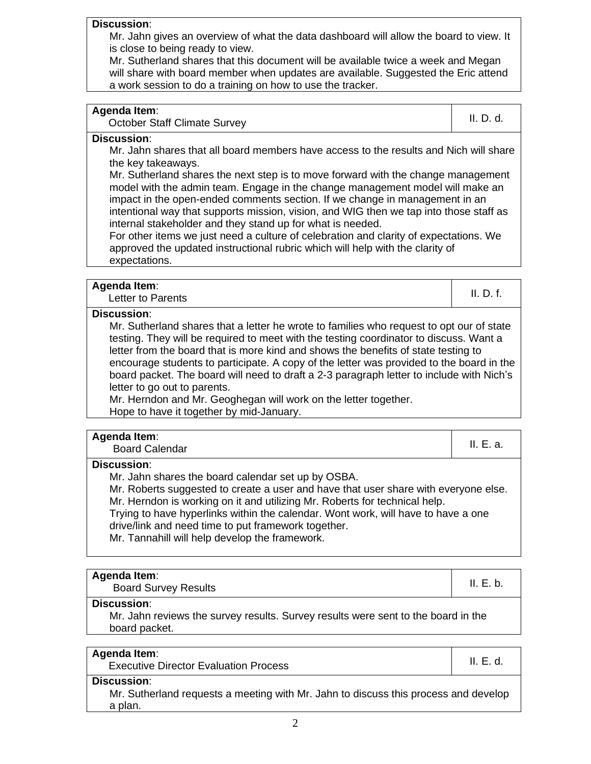## **Discussion**:

Mr. Jahn gives an overview of what the data dashboard will allow the board to view. It is close to being ready to view.

Mr. Sutherland shares that this document will be available twice a week and Megan will share with board member when updates are available. Suggested the Eric attend a work session to do a training on how to use the tracker.

| <b>Agenda Item:</b> |  |
|---------------------|--|
|---------------------|--|

october Staff Climate Survey **II. D. d.** II. D. d.

#### **Discussion**:

Mr. Jahn shares that all board members have access to the results and Nich will share the key takeaways.

Mr. Sutherland shares the next step is to move forward with the change management model with the admin team. Engage in the change management model will make an impact in the open-ended comments section. If we change in management in an intentional way that supports mission, vision, and WIG then we tap into those staff as internal stakeholder and they stand up for what is needed.

For other items we just need a culture of celebration and clarity of expectations. We approved the updated instructional rubric which will help with the clarity of expectations.

Letter to Parents **II. D. f.** II. D. f.

## **Discussion**:

Mr. Sutherland shares that a letter he wrote to families who request to opt our of state testing. They will be required to meet with the testing coordinator to discuss. Want a letter from the board that is more kind and shows the benefits of state testing to encourage students to participate. A copy of the letter was provided to the board in the board packet. The board will need to draft a 2-3 paragraph letter to include with Nich's letter to go out to parents.

Mr. Herndon and Mr. Geoghegan will work on the letter together. Hope to have it together by mid-January.

# **Agenda Item**:

| .                     |      |
|-----------------------|------|
| <b>Board Calendar</b> | <br> |

### **Discussion**:

Mr. Jahn shares the board calendar set up by OSBA.

Mr. Roberts suggested to create a user and have that user share with everyone else. Mr. Herndon is working on it and utilizing Mr. Roberts for technical help.

Trying to have hyperlinks within the calendar. Wont work, will have to have a one drive/link and need time to put framework together.

Mr. Tannahill will help develop the framework.

Board Survey Results **II. E. b.** II. E. b.

### **Discussion**:

Mr. Jahn reviews the survey results. Survey results were sent to the board in the board packet.

## **Agenda Item**:

executive Director Evaluation Process **Internal Control** II. E. d.

### **Discussion**:

Mr. Sutherland requests a meeting with Mr. Jahn to discuss this process and develop a plan.